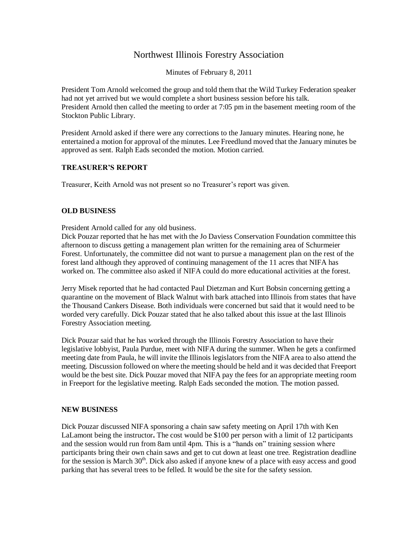## Northwest Illinois Forestry Association

Minutes of February 8, 2011

President Tom Arnold welcomed the group and told them that the Wild Turkey Federation speaker had not yet arrived but we would complete a short business session before his talk. President Arnold then called the meeting to order at 7:05 pm in the basement meeting room of the Stockton Public Library.

President Arnold asked if there were any corrections to the January minutes. Hearing none, he entertained a motion for approval of the minutes. Lee Freedlund moved that the January minutes be approved as sent. Ralph Eads seconded the motion. Motion carried.

## **TREASURER'S REPORT**

Treasurer, Keith Arnold was not present so no Treasurer's report was given.

## **OLD BUSINESS**

President Arnold called for any old business.

Dick Pouzar reported that he has met with the Jo Daviess Conservation Foundation committee this afternoon to discuss getting a management plan written for the remaining area of Schurmeier Forest. Unfortunately, the committee did not want to pursue a management plan on the rest of the forest land although they approved of continuing management of the 11 acres that NIFA has worked on. The committee also asked if NIFA could do more educational activities at the forest.

Jerry Misek reported that he had contacted Paul Dietzman and Kurt Bobsin concerning getting a quarantine on the movement of Black Walnut with bark attached into Illinois from states that have the Thousand Cankers Disease. Both individuals were concerned but said that it would need to be worded very carefully. Dick Pouzar stated that he also talked about this issue at the last Illinois Forestry Association meeting.

Dick Pouzar said that he has worked through the Illinois Forestry Association to have their legislative lobbyist, Paula Purdue, meet with NIFA during the summer. When he gets a confirmed meeting date from Paula, he will invite the Illinois legislators from the NIFA area to also attend the meeting. Discussion followed on where the meeting should be held and it was decided that Freeport would be the best site. Dick Pouzar moved that NIFA pay the fees for an appropriate meeting room in Freeport for the legislative meeting. Ralph Eads seconded the motion. The motion passed.

## **NEW BUSINESS**

Dick Pouzar discussed NIFA sponsoring a chain saw safety meeting on April 17th with Ken LaLamont being the instructor**.** The cost would be \$100 per person with a limit of 12 participants and the session would run from 8am until 4pm. This is a "hands on" training session where participants bring their own chain saws and get to cut down at least one tree. Registration deadline for the session is March  $30<sup>th</sup>$ . Dick also asked if anyone knew of a place with easy access and good parking that has several trees to be felled. It would be the site for the safety session.